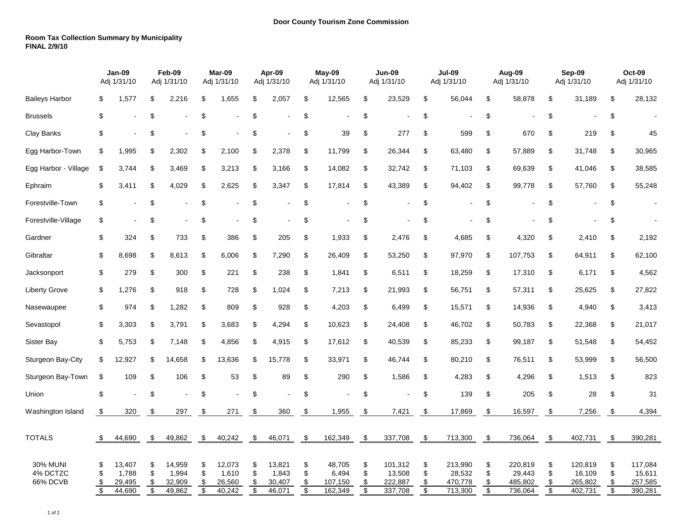## **Room Tax Collection Summary by Municipality FINAL 2/9/10**

|                                         | Jan-09<br>Adj 1/31/10 |                                     | Feb-09<br>Adj 1/31/10                     |                                     | Mar-09<br>Adj 1/31/10                     |                                     | Apr-09<br>Adj 1/31/10 |                                     | May-09<br>Adj 1/31/10             |                                       | <b>Jun-09</b><br>Adj 1/31/10              |                                         | <b>Jul-09</b><br>Adj 1/31/10      |                                         | Aug-09<br>Adj 1/31/10             |                                         | Sep-09<br>Adj 1/31/10 |                                         | <b>Oct-09</b><br>Adj 1/31/10              |                                         |
|-----------------------------------------|-----------------------|-------------------------------------|-------------------------------------------|-------------------------------------|-------------------------------------------|-------------------------------------|-----------------------|-------------------------------------|-----------------------------------|---------------------------------------|-------------------------------------------|-----------------------------------------|-----------------------------------|-----------------------------------------|-----------------------------------|-----------------------------------------|-----------------------|-----------------------------------------|-------------------------------------------|-----------------------------------------|
| <b>Baileys Harbor</b>                   | \$                    | 1,577                               | \$                                        | 2,216                               | \$                                        | 1,655                               | \$                    | 2,057                               | \$                                | 12,565                                | \$                                        | 23,529                                  | \$                                | 56,044                                  | \$                                | 58,878                                  | \$                    | 31,189                                  | \$                                        | 28,132                                  |
| <b>Brussels</b>                         | \$                    |                                     | \$                                        |                                     | \$                                        |                                     | \$                    |                                     | \$                                | ä,                                    | \$                                        |                                         | \$                                |                                         | \$                                |                                         | \$                    |                                         | \$                                        |                                         |
| Clay Banks                              | \$                    |                                     | \$                                        |                                     | \$                                        |                                     | \$                    |                                     | \$                                | 39                                    | \$                                        | 277                                     | \$                                | 599                                     | \$                                | 670                                     | \$                    | 219                                     | \$                                        | 45                                      |
| Egg Harbor-Town                         | \$                    | 1,995                               | \$                                        | 2,302                               | \$                                        | 2,100                               | \$                    | 2,378                               | \$                                | 11,799                                | \$                                        | 26,344                                  | \$                                | 63,480                                  | \$                                | 57,889                                  | \$                    | 31,748                                  | \$                                        | 30,965                                  |
| Egg Harbor - Village                    | \$                    | 3.744                               | \$                                        | 3,469                               | \$                                        | 3,213                               | \$                    | 3,166                               | \$                                | 14,082                                | \$                                        | 32,742                                  | \$                                | 71,103                                  | \$                                | 69,639                                  | \$                    | 41,046                                  | \$                                        | 38,585                                  |
| Ephraim                                 | \$                    | 3,411                               | \$                                        | 4,029                               | \$                                        | 2,625                               | \$                    | 3,347                               | \$                                | 17,814                                | \$                                        | 43,389                                  | \$                                | 94,402                                  | \$                                | 99,778                                  | \$                    | 57,760                                  | \$                                        | 55,248                                  |
| Forestville-Town                        | \$                    |                                     | \$                                        |                                     | \$                                        |                                     | \$                    |                                     | \$                                |                                       | \$                                        |                                         | \$                                |                                         | \$                                |                                         | \$                    |                                         | \$                                        |                                         |
| Forestville-Village                     | \$                    |                                     | \$                                        |                                     | \$                                        |                                     | \$                    |                                     | \$                                |                                       | \$                                        |                                         | \$                                |                                         | \$                                |                                         | \$                    |                                         | \$                                        |                                         |
| Gardner                                 | \$                    | 324                                 | \$                                        | 733                                 | \$                                        | 386                                 | \$                    | 205                                 | \$                                | 1,933                                 | \$                                        | 2,476                                   | \$                                | 4,685                                   | \$                                | 4,320                                   | \$                    | 2,410                                   | \$                                        | 2,192                                   |
| Gibraltar                               | \$                    | 8,698                               | \$                                        | 8,613                               | \$                                        | 6,006                               | \$                    | 7,290                               | \$                                | 26,409                                | \$                                        | 53,250                                  | \$                                | 97,970                                  | \$                                | 107,753                                 | \$                    | 64,911                                  | \$                                        | 62,100                                  |
| Jacksonport                             | \$                    | 279                                 | \$                                        | 300                                 | \$                                        | 221                                 | \$                    | 238                                 | \$                                | 1,841                                 | \$                                        | 6,511                                   | \$                                | 18,259                                  | \$                                | 17,310                                  | \$                    | 6,171                                   | \$                                        | 4,562                                   |
| <b>Liberty Grove</b>                    | \$                    | 1,276                               | \$                                        | 918                                 | \$                                        | 728                                 | \$                    | 1,024                               | \$                                | 7,213                                 | \$                                        | 21,993                                  | \$                                | 56,751                                  | \$                                | 57,311                                  | \$                    | 25,625                                  | \$                                        | 27,822                                  |
| Nasewaupee                              | \$                    | 974                                 | \$                                        | 1,282                               | \$                                        | 809                                 | \$                    | 928                                 | \$                                | 4,203                                 | \$                                        | 6,499                                   | \$                                | 15,571                                  | \$                                | 14,936                                  | \$                    | 4,940                                   | \$                                        | 3,413                                   |
| Sevastopol                              | \$                    | 3,303                               | \$                                        | 3,791                               | \$                                        | 3,683                               | \$                    | 4,294                               | \$                                | 10,623                                | \$                                        | 24,408                                  | \$                                | 46,702                                  | \$                                | 50,783                                  | \$                    | 22,368                                  | \$                                        | 21,017                                  |
| Sister Bay                              | \$                    | 5,753                               | \$                                        | 7,148                               | \$                                        | 4,856                               | \$                    | 4,915                               | \$                                | 17,612                                | \$                                        | 40,539                                  | \$                                | 85,233                                  | \$                                | 99,187                                  | \$                    | 51,548                                  | \$                                        | 54,452                                  |
| Sturgeon Bay-City                       | \$                    | 12,927                              | \$                                        | 14,658                              | \$                                        | 13,636                              | \$                    | 15,778                              | \$                                | 33,971                                | \$                                        | 46,744                                  | \$                                | 80,210                                  | \$                                | 76,511                                  | \$                    | 53,999                                  | \$                                        | 56,500                                  |
| Sturgeon Bay-Town                       | \$                    | 109                                 | \$                                        | 106                                 | \$                                        | 53                                  | \$                    | 89                                  | \$                                | 290                                   | \$                                        | 1,586                                   | \$                                | 4,283                                   | \$                                | 4,296                                   | \$                    | 1,513                                   | \$                                        | 823                                     |
| Union                                   | \$                    |                                     | \$                                        |                                     | \$                                        |                                     | \$                    |                                     | \$                                |                                       | \$                                        |                                         | \$                                | 139                                     | \$                                | 205                                     | \$                    | 28                                      | \$                                        | 31                                      |
| Washington Island                       | \$                    | 320                                 | \$                                        | 297                                 | \$                                        | 271                                 | \$                    | 360                                 | \$                                | 1,955                                 | \$                                        | 7,421                                   | \$                                | 17,869                                  | \$                                | 16,597                                  | \$                    | 7,256                                   | \$                                        | 4,394                                   |
| <b>TOTALS</b>                           | - \$                  | 44,690                              | \$                                        | 49,862                              | - \$                                      | 40,242                              | - \$                  | 46,071                              | $\sqrt{3}$                        | 162,349                               | $\sqrt{3}$                                | 337,708                                 | - \$                              | 713,300                                 | - \$                              | 736,064                                 | $\sqrt{3}$            | 402,731                                 | -\$                                       | 390,281                                 |
| <b>30% MUNI</b><br>4% DCTZC<br>66% DCVB | \$<br>\$<br>\$        | 13,407<br>1.788<br>29,495<br>44,690 | \$<br>\$<br>\$<br>$\overline{\mathbf{e}}$ | 14,959<br>1,994<br>32,909<br>49,862 | \$<br>\$<br>\$<br>$\overline{\mathbf{e}}$ | 12,073<br>1,610<br>26,560<br>40,242 | \$<br>\$<br>\$<br>\$  | 13,821<br>1,843<br>30,407<br>46,071 | \$<br>\$<br>\$<br>$\overline{\$}$ | 48,705<br>6,494<br>107,150<br>162,349 | \$<br>\$<br>\$<br>$\overline{\mathbf{e}}$ | 101,312<br>13,508<br>222,887<br>337,708 | \$<br>\$<br>\$<br>$\overline{\$}$ | 213,990<br>28,532<br>470,778<br>713,300 | \$<br>\$<br>\$<br>$\overline{\$}$ | 220,819<br>29,443<br>485,802<br>736,064 | \$<br>\$<br>\$<br>\$  | 120,819<br>16,109<br>265,802<br>402,731 | \$<br>\$<br>\$<br>$\overline{\mathbf{e}}$ | 117,084<br>15,611<br>257,585<br>390,281 |